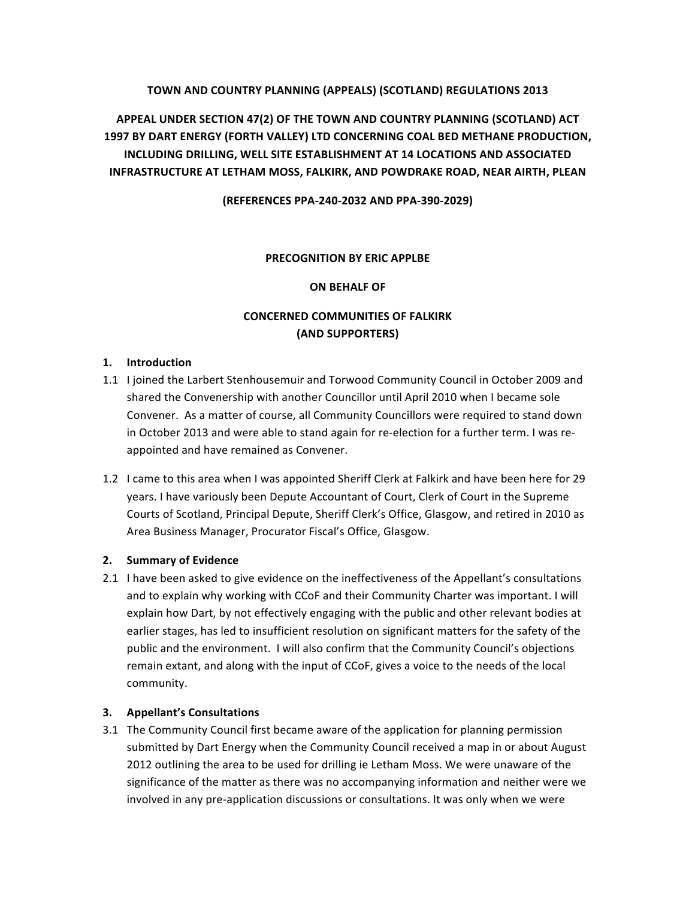# **TOWN AND COUNTRY PLANNING (APPEALS) (SCOTLAND) REGULATIONS 2013**

**APPEAL UNDER SECTION 47(2) OF THE TOWN AND COUNTRY PLANNING (SCOTLAND) ACT 1997 BY DART ENERGY (FORTH VALLEY) LTD CONCERNING COAL BED METHANE PRODUCTION, INCLUDING DRILLING, WELL SITE ESTABLISHMENT AT 14 LOCATIONS AND ASSOCIATED INFRASTRUCTURE AT LETHAM MOSS, FALKIRK, AND POWDRAKE ROAD, NEAR AIRTH, PLEAN** 

**(REFERENCES PPA-240-2032 AND PPA-390-2029)**

#### **PRECOGNITION BY ERIC APPLBE**

## **ON BEHALF OF**

# **CONCERNED COMMUNITIES OF FALKIRK (AND SUPPORTERS)**

## **1. Introduction**

- 1.1 I joined the Larbert Stenhousemuir and Torwood Community Council in October 2009 and shared the Convenership with another Councillor until April 2010 when I became sole Convener. As a matter of course, all Community Councillors were required to stand down in October 2013 and were able to stand again for re-election for a further term. I was reappointed and have remained as Convener.
- 1.2 I came to this area when I was appointed Sheriff Clerk at Falkirk and have been here for 29 years. I have variously been Depute Accountant of Court, Clerk of Court in the Supreme Courts of Scotland, Principal Depute, Sheriff Clerk's Office, Glasgow, and retired in 2010 as Area Business Manager, Procurator Fiscal's Office, Glasgow.

#### **2. Summary of Evidence**

2.1 I have been asked to give evidence on the ineffectiveness of the Appellant's consultations and to explain why working with CCoF and their Community Charter was important. I will explain how Dart, by not effectively engaging with the public and other relevant bodies at earlier stages, has led to insufficient resolution on significant matters for the safety of the public and the environment. I will also confirm that the Community Council's objections remain extant, and along with the input of CCoF, gives a voice to the needs of the local community. 

#### **3. Appellant's Consultations**

3.1 The Community Council first became aware of the application for planning permission submitted by Dart Energy when the Community Council received a map in or about August 2012 outlining the area to be used for drilling ie Letham Moss. We were unaware of the significance of the matter as there was no accompanying information and neither were we involved in any pre-application discussions or consultations. It was only when we were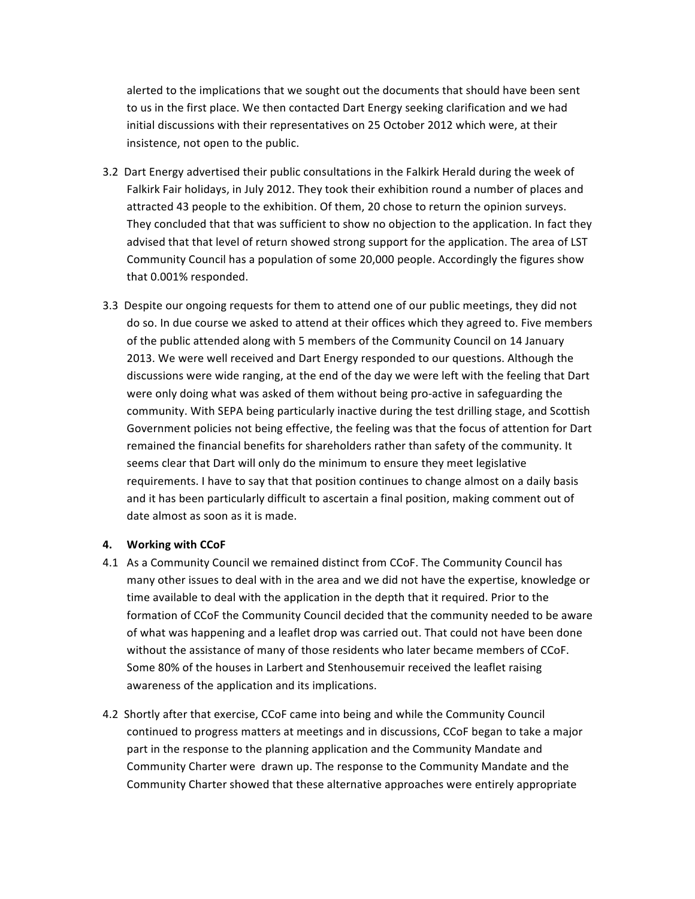alerted to the implications that we sought out the documents that should have been sent to us in the first place. We then contacted Dart Energy seeking clarification and we had initial discussions with their representatives on 25 October 2012 which were, at their insistence, not open to the public.

- 3.2 Dart Energy advertised their public consultations in the Falkirk Herald during the week of Falkirk Fair holidays, in July 2012. They took their exhibition round a number of places and attracted 43 people to the exhibition. Of them, 20 chose to return the opinion surveys. They concluded that that was sufficient to show no objection to the application. In fact they advised that that level of return showed strong support for the application. The area of LST Community Council has a population of some 20,000 people. Accordingly the figures show that 0.001% responded.
- 3.3 Despite our ongoing requests for them to attend one of our public meetings, they did not do so. In due course we asked to attend at their offices which they agreed to. Five members of the public attended along with 5 members of the Community Council on 14 January 2013. We were well received and Dart Energy responded to our questions. Although the discussions were wide ranging, at the end of the day we were left with the feeling that Dart were only doing what was asked of them without being pro-active in safeguarding the community. With SEPA being particularly inactive during the test drilling stage, and Scottish Government policies not being effective, the feeling was that the focus of attention for Dart remained the financial benefits for shareholders rather than safety of the community. It seems clear that Dart will only do the minimum to ensure they meet legislative requirements. I have to say that that position continues to change almost on a daily basis and it has been particularly difficult to ascertain a final position, making comment out of date almost as soon as it is made.

#### **4. Working with CCoF**

- 4.1 As a Community Council we remained distinct from CCoF. The Community Council has many other issues to deal with in the area and we did not have the expertise, knowledge or time available to deal with the application in the depth that it required. Prior to the formation of CCoF the Community Council decided that the community needed to be aware of what was happening and a leaflet drop was carried out. That could not have been done without the assistance of many of those residents who later became members of CCoF. Some 80% of the houses in Larbert and Stenhousemuir received the leaflet raising awareness of the application and its implications.
- 4.2 Shortly after that exercise, CCoF came into being and while the Community Council continued to progress matters at meetings and in discussions, CCoF began to take a major part in the response to the planning application and the Community Mandate and Community Charter were drawn up. The response to the Community Mandate and the Community Charter showed that these alternative approaches were entirely appropriate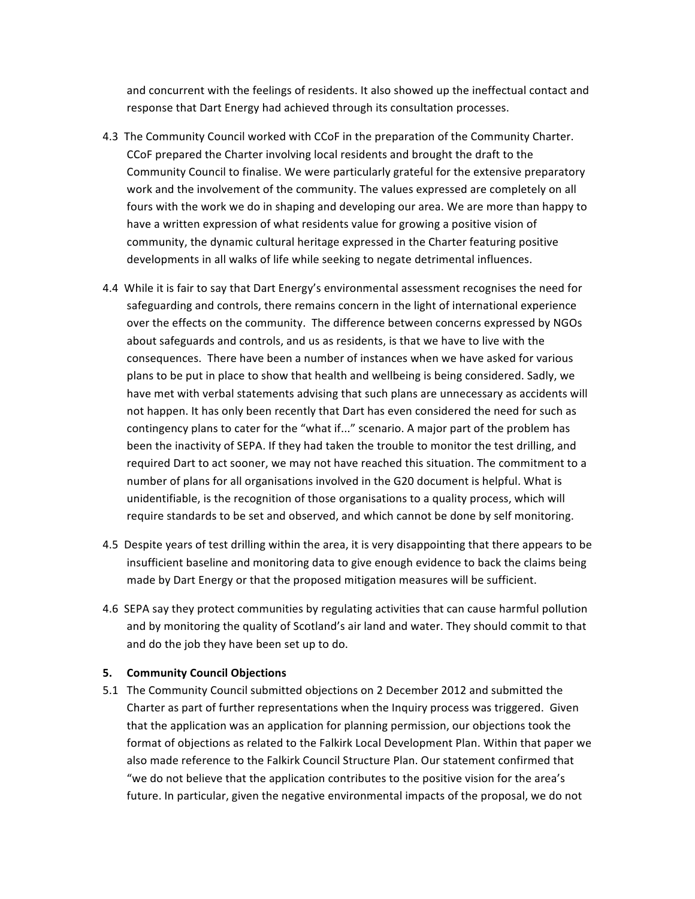and concurrent with the feelings of residents. It also showed up the ineffectual contact and response that Dart Energy had achieved through its consultation processes.

- 4.3 The Community Council worked with CCoF in the preparation of the Community Charter. CCoF prepared the Charter involving local residents and brought the draft to the Community Council to finalise. We were particularly grateful for the extensive preparatory work and the involvement of the community. The values expressed are completely on all fours with the work we do in shaping and developing our area. We are more than happy to have a written expression of what residents value for growing a positive vision of community, the dynamic cultural heritage expressed in the Charter featuring positive developments in all walks of life while seeking to negate detrimental influences.
- 4.4 While it is fair to say that Dart Energy's environmental assessment recognises the need for safeguarding and controls, there remains concern in the light of international experience over the effects on the community. The difference between concerns expressed by NGOs about safeguards and controls, and us as residents, is that we have to live with the consequences. There have been a number of instances when we have asked for various plans to be put in place to show that health and wellbeing is being considered. Sadly, we have met with verbal statements advising that such plans are unnecessary as accidents will not happen. It has only been recently that Dart has even considered the need for such as contingency plans to cater for the "what if..." scenario. A major part of the problem has been the inactivity of SEPA. If they had taken the trouble to monitor the test drilling, and required Dart to act sooner, we may not have reached this situation. The commitment to a number of plans for all organisations involved in the G20 document is helpful. What is unidentifiable, is the recognition of those organisations to a quality process, which will require standards to be set and observed, and which cannot be done by self monitoring.
- 4.5 Despite years of test drilling within the area, it is very disappointing that there appears to be insufficient baseline and monitoring data to give enough evidence to back the claims being made by Dart Energy or that the proposed mitigation measures will be sufficient.
- 4.6 SEPA say they protect communities by regulating activities that can cause harmful pollution and by monitoring the quality of Scotland's air land and water. They should commit to that and do the job they have been set up to do.

#### **5. Community Council Objections**

5.1 The Community Council submitted objections on 2 December 2012 and submitted the Charter as part of further representations when the Inquiry process was triggered. Given that the application was an application for planning permission, our objections took the format of objections as related to the Falkirk Local Development Plan. Within that paper we also made reference to the Falkirk Council Structure Plan. Our statement confirmed that "we do not believe that the application contributes to the positive vision for the area's future. In particular, given the negative environmental impacts of the proposal, we do not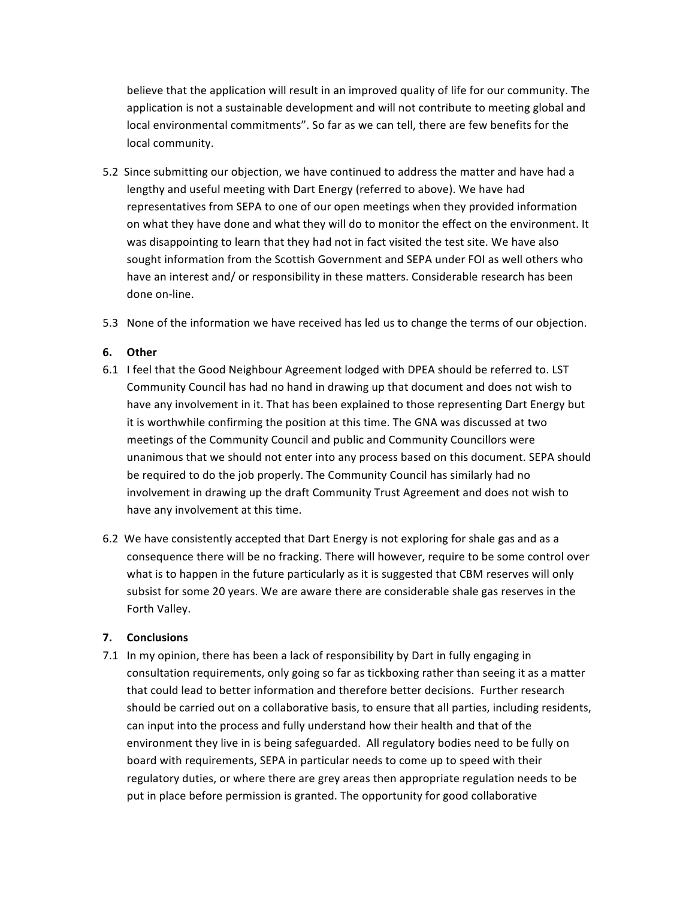believe that the application will result in an improved quality of life for our community. The application is not a sustainable development and will not contribute to meeting global and local environmental commitments". So far as we can tell, there are few benefits for the local community.

- 5.2 Since submitting our objection, we have continued to address the matter and have had a lengthy and useful meeting with Dart Energy (referred to above). We have had representatives from SEPA to one of our open meetings when they provided information on what they have done and what they will do to monitor the effect on the environment. It was disappointing to learn that they had not in fact visited the test site. We have also sought information from the Scottish Government and SEPA under FOI as well others who have an interest and/ or responsibility in these matters. Considerable research has been done on-line.
- 5.3 None of the information we have received has led us to change the terms of our objection.

## **6. Other**

- 6.1 I feel that the Good Neighbour Agreement lodged with DPEA should be referred to. LST Community Council has had no hand in drawing up that document and does not wish to have any involvement in it. That has been explained to those representing Dart Energy but it is worthwhile confirming the position at this time. The GNA was discussed at two meetings of the Community Council and public and Community Councillors were unanimous that we should not enter into any process based on this document. SEPA should be required to do the job properly. The Community Council has similarly had no involvement in drawing up the draft Community Trust Agreement and does not wish to have any involvement at this time.
- 6.2 We have consistently accepted that Dart Energy is not exploring for shale gas and as a consequence there will be no fracking. There will however, require to be some control over what is to happen in the future particularly as it is suggested that CBM reserves will only subsist for some 20 years. We are aware there are considerable shale gas reserves in the Forth Valley.

# **7. Conclusions**

7.1 In my opinion, there has been a lack of responsibility by Dart in fully engaging in consultation requirements, only going so far as tickboxing rather than seeing it as a matter that could lead to better information and therefore better decisions. Further research should be carried out on a collaborative basis, to ensure that all parties, including residents, can input into the process and fully understand how their health and that of the environment they live in is being safeguarded. All regulatory bodies need to be fully on board with requirements, SEPA in particular needs to come up to speed with their regulatory duties, or where there are grey areas then appropriate regulation needs to be put in place before permission is granted. The opportunity for good collaborative